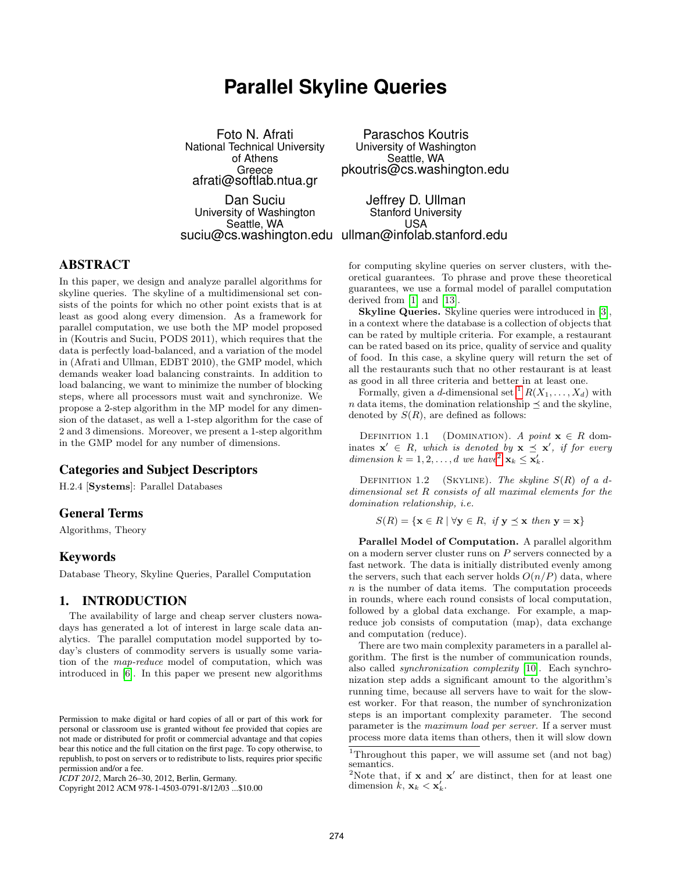# **Parallel Skyline Queries**

Foto N. Afrati National Technical University of Athens Greece afrati@softlab.ntua.gr Paraschos Koutris University of Washington Seattle, WA pkoutris@cs.washington.edu Dan Suciu University of Washington Seattle, WA suciu@cs.washington.edu ullman@infolab.stanford.edu Jeffrey D. Ullman Stanford University USA

# ABSTRACT

In this paper, we design and analyze parallel algorithms for skyline queries. The skyline of a multidimensional set consists of the points for which no other point exists that is at least as good along every dimension. As a framework for parallel computation, we use both the MP model proposed in (Koutris and Suciu, PODS 2011), which requires that the data is perfectly load-balanced, and a variation of the model in (Afrati and Ullman, EDBT 2010), the GMP model, which demands weaker load balancing constraints. In addition to load balancing, we want to minimize the number of blocking steps, where all processors must wait and synchronize. We propose a 2-step algorithm in the MP model for any dimension of the dataset, as well a 1-step algorithm for the case of 2 and 3 dimensions. Moreover, we present a 1-step algorithm in the GMP model for any number of dimensions.

# Categories and Subject Descriptors

H.2.4 [Systems]: Parallel Databases

# General Terms

Algorithms, Theory

# Keywords

Database Theory, Skyline Queries, Parallel Computation

# 1. INTRODUCTION

The availability of large and cheap server clusters nowadays has generated a lot of interest in large scale data analytics. The parallel computation model supported by today's clusters of commodity servers is usually some variation of the map-reduce model of computation, which was introduced in [6]. In this paper we present new algorithms

Copyright 2012 ACM 978-1-4503-0791-8/12/03 ...\$10.00

for computing skyline queries on server clusters, with theoretical guarantees. To phrase and prove these theoretical guarantees, we use a formal model of parallel computation derived from [1] and [13].

Skyline Queries. Skyline queries were introduced in [3], in a context where the database is a collection of objects that can be rated by multiple criteria. For example, a restaurant can be rated based on its price, quality of service and quality of food. In this case, a skyline query will return the set of all the restaurants such that no other restaurant is at least as good in all three criteria and better in at least one.

Formally, given a d-dimensional set  ${}^{1}R(X_1, \ldots, X_d)$  with n data items, the domination relationship  $\preceq$  and the skyline, denoted by  $S(R)$ , are defined as follows:

DEFINITION 1.1 (DOMINATION). A point  $\mathbf{x} \in R$  dominates  $\mathbf{x}' \in R$ , which is denoted by  $\mathbf{x} \preceq \mathbf{x}'$ , if for every dimension  $k = 1, 2, ..., d$  we have<sup>2</sup>  $\mathbf{x}_k \leq \mathbf{x}'_k$ .

DEFINITION 1.2 (SKYLINE). The skyline  $S(R)$  of a ddimensional set R consists of all maximal elements for the domination relationship, i.e.

$$
S(R) = \{ \mathbf{x} \in R \mid \forall \mathbf{y} \in R, \text{ if } \mathbf{y} \preceq \mathbf{x} \text{ then } \mathbf{y} = \mathbf{x} \}
$$

Parallel Model of Computation. A parallel algorithm on a modern server cluster runs on P servers connected by a fast network. The data is initially distributed evenly among the servers, such that each server holds  $O(n/P)$  data, where n is the number of data items. The computation proceeds in rounds, where each round consists of local computation, followed by a global data exchange. For example, a mapreduce job consists of computation (map), data exchange and computation (reduce).

There are two main complexity parameters in a parallel algorithm. The first is the number of communication rounds, also called synchronization complexity [10]. Each synchronization step adds a significant amount to the algorithm's running time, because all servers have to wait for the slowest worker. For that reason, the number of synchronization steps is an important complexity parameter. The second parameter is the maximum load per server. If a server must process more data items than others, then it will slow down

Permission to make digital or hard copies of all or part of this work for personal or classroom use is granted without fee provided that copies are not made or distributed for profit or commercial advantage and that copies bear this notice and the full citation on the first page. To copy otherwise, to republish, to post on servers or to redistribute to lists, requires prior specific permission and/or a fee.

*ICDT 2012*, March 26–30, 2012, Berlin, Germany.

<sup>&</sup>lt;sup>1</sup>Throughout this paper, we will assume set (and not bag) semantics.

<sup>&</sup>lt;sup>2</sup>Note that, if **x** and **x**' are distinct, then for at least one dimension  $\hat{k}$ ,  $\mathbf{x}_k < \mathbf{x}'_k$ .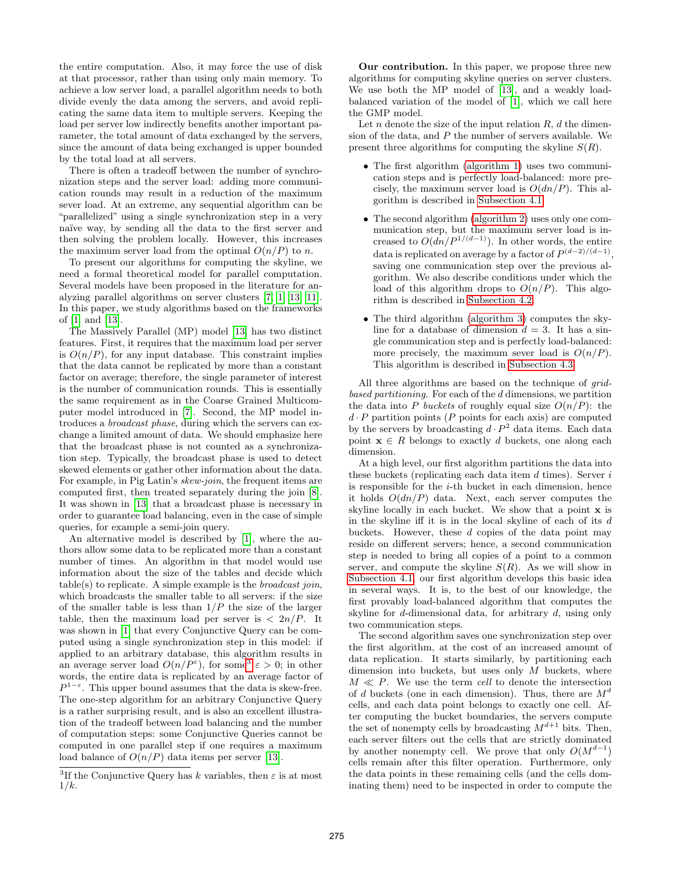the entire computation. Also, it may force the use of disk at that processor, rather than using only main memory. To achieve a low server load, a parallel algorithm needs to both divide evenly the data among the servers, and avoid replicating the same data item to multiple servers. Keeping the load per server low indirectly benefits another important parameter, the total amount of data exchanged by the servers, since the amount of data being exchanged is upper bounded by the total load at all servers.

There is often a tradeoff between the number of synchronization steps and the server load: adding more communication rounds may result in a reduction of the maximum sever load. At an extreme, any sequential algorithm can be "parallelized" using a single synchronization step in a very naïve way, by sending all the data to the first server and then solving the problem locally. However, this increases the maximum server load from the optimal  $O(n/P)$  to n.

To present our algorithms for computing the skyline, we need a formal theoretical model for parallel computation. Several models have been proposed in the literature for analyzing parallel algorithms on server clusters [7, 1, 13, 11]. In this paper, we study algorithms based on the frameworks of [1] and [13].

The Massively Parallel (MP) model [13] has two distinct features. First, it requires that the maximum load per server is  $O(n/P)$ , for any input database. This constraint implies that the data cannot be replicated by more than a constant factor on average; therefore, the single parameter of interest is the number of communication rounds. This is essentially the same requirement as in the Coarse Grained Multicomputer model introduced in [7]. Second, the MP model introduces a broadcast phase, during which the servers can exchange a limited amount of data. We should emphasize here that the broadcast phase is not counted as a synchronization step. Typically, the broadcast phase is used to detect skewed elements or gather other information about the data. For example, in Pig Latin's *skew-join*, the frequent items are computed first, then treated separately during the join [8]. It was shown in [13] that a broadcast phase is necessary in order to guarantee load balancing, even in the case of simple queries, for example a semi-join query.

An alternative model is described by [1], where the authors allow some data to be replicated more than a constant number of times. An algorithm in that model would use information about the size of the tables and decide which  $table(s)$  to replicate. A simple example is the *broadcast join*, which broadcasts the smaller table to all servers: if the size of the smaller table is less than  $1/P$  the size of the larger table, then the maximum load per server is  $\langle 2n/P.$  It was shown in [1] that every Conjunctive Query can be computed using a single synchronization step in this model: if applied to an arbitrary database, this algorithm results in an average server load  $O(n/P^{\varepsilon})$ , for some<sup>3</sup>  $\varepsilon > 0$ ; in other words, the entire data is replicated by an average factor of  $P^{1-\varepsilon}$ . This upper bound assumes that the data is skew-free. The one-step algorithm for an arbitrary Conjunctive Query is a rather surprising result, and is also an excellent illustration of the tradeoff between load balancing and the number of computation steps: some Conjunctive Queries cannot be computed in one parallel step if one requires a maximum load balance of  $O(n/P)$  data items per server [13].

Our contribution. In this paper, we propose three new algorithms for computing skyline queries on server clusters. We use both the MP model of [13], and a weakly loadbalanced variation of the model of [1], which we call here the GMP model.

Let n denote the size of the input relation  $R, d$  the dimension of the data, and  $P$  the number of servers available. We present three algorithms for computing the skyline  $S(R)$ .

- The first algorithm (algorithm 1) uses two communication steps and is perfectly load-balanced: more precisely, the maximum server load is  $O(dn/P)$ . This algorithm is described in Subsection 4.1.
- The second algorithm (algorithm 2) uses only one communication step, but the maximum server load is increased to  $O(dn/P^{1/(d-1)})$ . In other words, the entire data is replicated on average by a factor of  $P^{(d-2)/(d-1)}$ , saving one communication step over the previous algorithm. We also describe conditions under which the load of this algorithm drops to  $O(n/P)$ . This algorithm is described in Subsection 4.2.
- The third algorithm (algorithm 3) computes the skyline for a database of dimension  $d = 3$ . It has a single communication step and is perfectly load-balanced: more precisely, the maximum sever load is  $O(n/P)$ . This algorithm is described in Subsection 4.3.

All three algorithms are based on the technique of *grid*based partitioning. For each of the d dimensions, we partition the data into P buckets of roughly equal size  $O(n/P)$ : the  $d \cdot P$  partition points (P points for each axis) are computed by the servers by broadcasting  $d \cdot P^2$  data items. Each data point  $\mathbf{x} \in R$  belongs to exactly d buckets, one along each dimension.

At a high level, our first algorithm partitions the data into these buckets (replicating each data item  $d$  times). Server  $i$ is responsible for the i-th bucket in each dimension, hence it holds  $O(dn/P)$  data. Next, each server computes the skyline locally in each bucket. We show that a point x is in the skyline iff it is in the local skyline of each of its  $d$ buckets. However, these  $d$  copies of the data point may reside on different servers; hence, a second communication step is needed to bring all copies of a point to a common server, and compute the skyline  $S(R)$ . As we will show in Subsection 4.1, our first algorithm develops this basic idea in several ways. It is, to the best of our knowledge, the first provably load-balanced algorithm that computes the skyline for d-dimensional data, for arbitrary d, using only two communication steps.

The second algorithm saves one synchronization step over the first algorithm, at the cost of an increased amount of data replication. It starts similarly, by partitioning each dimension into buckets, but uses only  $M$  buckets, where  $M \ll P$ . We use the term cell to denote the intersection of d buckets (one in each dimension). Thus, there are  $M^d$ cells, and each data point belongs to exactly one cell. After computing the bucket boundaries, the servers compute the set of nonempty cells by broadcasting  $M^{d+1}$  bits. Then, each server filters out the cells that are strictly dominated by another nonempty cell. We prove that only  $O(M^{d-1})$ cells remain after this filter operation. Furthermore, only the data points in these remaining cells (and the cells dominating them) need to be inspected in order to compute the

<sup>&</sup>lt;sup>3</sup>If the Conjunctive Query has k variables, then  $\varepsilon$  is at most  $1/k$ .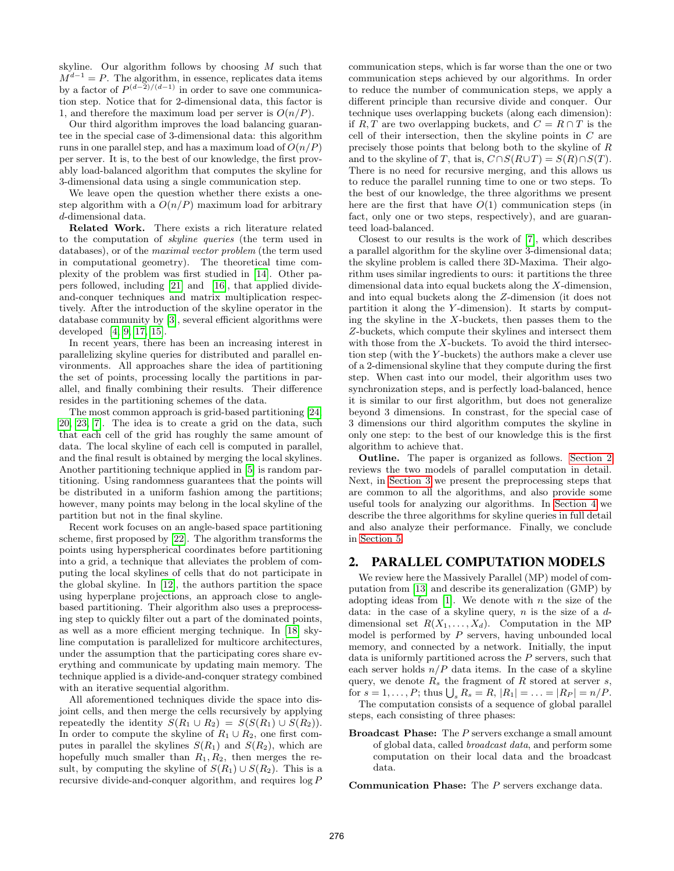skyline. Our algorithm follows by choosing  $M$  such that  $M^{d-1} = P$ . The algorithm, in essence, replicates data items by a factor of  $P^{(d-2)/(d-1)}$  in order to save one communication step. Notice that for 2-dimensional data, this factor is 1, and therefore the maximum load per server is  $O(n/P)$ .

Our third algorithm improves the load balancing guarantee in the special case of 3-dimensional data: this algorithm runs in one parallel step, and has a maximum load of  $O(n/P)$ per server. It is, to the best of our knowledge, the first provably load-balanced algorithm that computes the skyline for 3-dimensional data using a single communication step.

We leave open the question whether there exists a onestep algorithm with a  $O(n/P)$  maximum load for arbitrary d-dimensional data.

Related Work. There exists a rich literature related to the computation of skyline queries (the term used in databases), or of the maximal vector problem (the term used in computational geometry). The theoretical time complexity of the problem was first studied in [14]. Other papers followed, including [21] and [16], that applied divideand-conquer techniques and matrix multiplication respectively. After the introduction of the skyline operator in the database community by [3], several efficient algorithms were developed [4, 9, 17, 15].

In recent years, there has been an increasing interest in parallelizing skyline queries for distributed and parallel environments. All approaches share the idea of partitioning the set of points, processing locally the partitions in parallel, and finally combining their results. Their difference resides in the partitioning schemes of the data.

The most common approach is grid-based partitioning [24, 20, 23, 7]. The idea is to create a grid on the data, such that each cell of the grid has roughly the same amount of data. The local skyline of each cell is computed in parallel, and the final result is obtained by merging the local skylines. Another partitioning technique applied in [5] is random partitioning. Using randomness guarantees that the points will be distributed in a uniform fashion among the partitions; however, many points may belong in the local skyline of the partition but not in the final skyline.

Recent work focuses on an angle-based space partitioning scheme, first proposed by [22]. The algorithm transforms the points using hyperspherical coordinates before partitioning into a grid, a technique that alleviates the problem of computing the local skylines of cells that do not participate in the global skyline. In [12], the authors partition the space using hyperplane projections, an approach close to anglebased partitioning. Their algorithm also uses a preprocessing step to quickly filter out a part of the dominated points, as well as a more efficient merging technique. In [18] skyline computation is parallelized for multicore architectures, under the assumption that the participating cores share everything and communicate by updating main memory. The technique applied is a divide-and-conquer strategy combined with an iterative sequential algorithm.

All aforementioned techniques divide the space into disjoint cells, and then merge the cells recursively by applying repeatedly the identity  $S(R_1 \cup R_2) = S(S(R_1) \cup S(R_2)).$ In order to compute the skyline of  $R_1 \cup R_2$ , one first computes in parallel the skylines  $S(R_1)$  and  $S(R_2)$ , which are hopefully much smaller than  $R_1, R_2$ , then merges the result, by computing the skyline of  $S(R_1) \cup S(R_2)$ . This is a recursive divide-and-conquer algorithm, and requires log P communication steps, which is far worse than the one or two communication steps achieved by our algorithms. In order to reduce the number of communication steps, we apply a different principle than recursive divide and conquer. Our technique uses overlapping buckets (along each dimension): if R, T are two overlapping buckets, and  $C = R \cap T$  is the cell of their intersection, then the skyline points in  $C$  are precisely those points that belong both to the skyline of R and to the skyline of T, that is,  $C \cap S(R \cup T) = S(R) \cap S(T)$ . There is no need for recursive merging, and this allows us to reduce the parallel running time to one or two steps. To the best of our knowledge, the three algorithms we present here are the first that have  $O(1)$  communication steps (in fact, only one or two steps, respectively), and are guaranteed load-balanced.

Closest to our results is the work of [7], which describes a parallel algorithm for the skyline over 3-dimensional data; the skyline problem is called there 3D-Maxima. Their algorithm uses similar ingredients to ours: it partitions the three dimensional data into equal buckets along the X-dimension, and into equal buckets along the Z-dimension (it does not partition it along the Y -dimension). It starts by computing the skyline in the  $X$ -buckets, then passes them to the Z-buckets, which compute their skylines and intersect them with those from the X-buckets. To avoid the third intersection step (with the Y -buckets) the authors make a clever use of a 2-dimensional skyline that they compute during the first step. When cast into our model, their algorithm uses two synchronization steps, and is perfectly load-balanced, hence it is similar to our first algorithm, but does not generalize beyond 3 dimensions. In constrast, for the special case of 3 dimensions our third algorithm computes the skyline in only one step: to the best of our knowledge this is the first algorithm to achieve that.

Outline. The paper is organized as follows. Section 2 reviews the two models of parallel computation in detail. Next, in Section 3 we present the preprocessing steps that are common to all the algorithms, and also provide some useful tools for analyzing our algorithms. In Section 4 we describe the three algorithms for skyline queries in full detail and also analyze their performance. Finally, we conclude in Section 5.

# 2. PARALLEL COMPUTATION MODELS

We review here the Massively Parallel (MP) model of computation from [13] and describe its generalization (GMP) by adopting ideas from [1]. We denote with  $n$  the size of the data: in the case of a skyline query,  $n$  is the size of a  $d$ dimensional set  $R(X_1, \ldots, X_d)$ . Computation in the MP model is performed by  $P$  servers, having unbounded local memory, and connected by a network. Initially, the input data is uniformly partitioned across the P servers, such that each server holds  $n/P$  data items. In the case of a skyline query, we denote  $R_s$  the fragment of R stored at server s, for  $s = 1, ..., P$ ; thus  $\bigcup_s R_s = R$ ,  $|R_1| = ... = |R_P| = n/P$ .

The computation consists of a sequence of global parallel steps, each consisting of three phases:

Broadcast Phase: The P servers exchange a small amount of global data, called broadcast data, and perform some computation on their local data and the broadcast data.

Communication Phase: The P servers exchange data.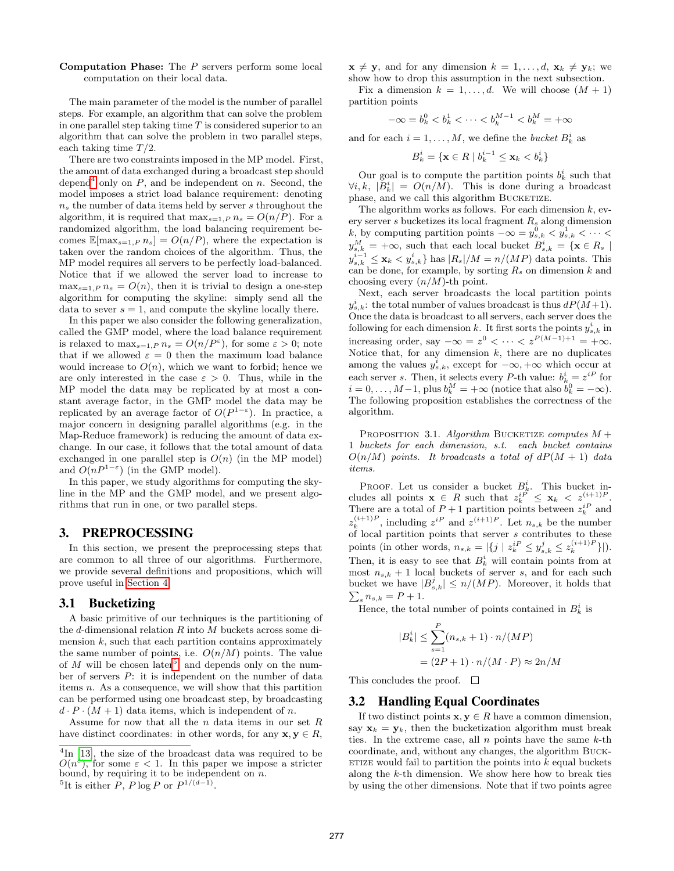## **Computation Phase:** The  $P$  servers perform some local computation on their local data.

The main parameter of the model is the number of parallel steps. For example, an algorithm that can solve the problem in one parallel step taking time  $T$  is considered superior to an algorithm that can solve the problem in two parallel steps, each taking time  $T/2$ .

There are two constraints imposed in the MP model. First, the amount of data exchanged during a broadcast step should depend<sup>4</sup> only on P, and be independent on n. Second, the model imposes a strict load balance requirement: denoting  $n<sub>s</sub>$  the number of data items held by server s throughout the algorithm, it is required that  $\max_{s=1,P} n_s = O(n/P)$ . For a randomized algorithm, the load balancing requirement becomes  $\mathbb{E}[\max_{s=1,P} n_s] = O(n/P)$ , where the expectation is taken over the random choices of the algorithm. Thus, the MP model requires all servers to be perfectly load-balanced. Notice that if we allowed the server load to increase to  $\max_{s=1,P} n_s = O(n)$ , then it is trivial to design a one-step algorithm for computing the skyline: simply send all the data to sever  $s = 1$ , and compute the skyline locally there.

In this paper we also consider the following generalization, called the GMP model, where the load balance requirement is relaxed to  $\max_{s=1,P} n_s = O(n/P^{\varepsilon})$ , for some  $\varepsilon > 0$ ; note that if we allowed  $\varepsilon = 0$  then the maximum load balance would increase to  $O(n)$ , which we want to forbid; hence we are only interested in the case  $\varepsilon > 0$ . Thus, while in the MP model the data may be replicated by at most a constant average factor, in the GMP model the data may be replicated by an average factor of  $O(P^{1-\varepsilon})$ . In practice, a major concern in designing parallel algorithms (e.g. in the Map-Reduce framework) is reducing the amount of data exchange. In our case, it follows that the total amount of data exchanged in one parallel step is  $O(n)$  (in the MP model) and  $O(nP^{1-\epsilon})$  (in the GMP model).

In this paper, we study algorithms for computing the skyline in the MP and the GMP model, and we present algorithms that run in one, or two parallel steps.

# 3. PREPROCESSING

In this section, we present the preprocessing steps that are common to all three of our algorithms. Furthermore, we provide several definitions and propositions, which will prove useful in Section 4.

# 3.1 Bucketizing

A basic primitive of our techniques is the partitioning of the d-dimensional relation  $R$  into  $M$  buckets across some dimension  $k$ , such that each partition contains approximately the same number of points, i.e.  $O(n/M)$  points. The value of M will be chosen later<sup>5</sup>, and depends only on the number of servers P: it is independent on the number of data items n. As a consequence, we will show that this partition can be performed using one broadcast step, by broadcasting  $d \cdot P \cdot (M+1)$  data items, which is independent of n.

Assume for now that all the n data items in our set  $R$ have distinct coordinates: in other words, for any  $\mathbf{x}, \mathbf{y} \in R$ ,  $\mathbf{x} \neq \mathbf{y}$ , and for any dimension  $k = 1, \ldots, d$ ,  $\mathbf{x}_k \neq \mathbf{y}_k$ ; we show how to drop this assumption in the next subsection.

Fix a dimension  $k = 1, \ldots, d$ . We will choose  $(M + 1)$ partition points

$$
-\infty=b_k^0
$$

and for each  $i = 1, ..., M$ , we define the *bucket*  $B_k^i$  as

$$
B_k^i = \{ \mathbf{x} \in R \mid b_k^{i-1} \leq \mathbf{x}_k < b_k^i \}
$$

Our goal is to compute the partition points  $b_k^i$  such that  $\forall i, k, |B_k^i| = O(n/M)$ . This is done during a broadcast phase, and we call this algorithm BUCKETIZE.

The algorithm works as follows. For each dimension  $k$ , every server s bucketizes its local fragment  $R_s$  along dimension k, by computing partition points  $-\infty = y_{s,k}^0 < y_{s,k}^1 < \cdots$  $y_{s,k}^M = +\infty$ , such that each local bucket  $B_{s,k}^i = \{ \mathbf{x} \in R_s \mid$  $y_{s,k}^{i-1} \leq \mathbf{x}_k \lt y_{s,k}^i$  has  $|R_s|/M = n/(MP)$  data points. This can be done, for example, by sorting  $R_s$  on dimension  $k$  and choosing every  $(n/M)$ -th point.

Next, each server broadcasts the local partition points  $y_{s,k}^i$ : the total number of values broadcast is thus  $dP(M+1)$ . Once the data is broadcast to all servers, each server does the following for each dimension k. It first sorts the points  $y_{s,k}^i$  in increasing order, say  $-\infty = z^0 < \cdots < z^{P(M-1)+1} = +\infty$ . Notice that, for any dimension  $k$ , there are no duplicates among the values  $y_{s,k}^i$ , except for  $-\infty, +\infty$  which occur at each server s. Then, it selects every P-th value:  $b_k^i = z^{iP}$  for  $i = 0, \ldots, M-1$ , plus  $b_k^M = +\infty$  (notice that also  $b_k^0 = -\infty$ ). The following proposition establishes the correctness of the algorithm.

PROPOSITION 3.1. Algorithm BUCKETIZE computes  $M +$ 1 buckets for each dimension, s.t. each bucket contains  $O(n/M)$  points. It broadcasts a total of  $dP(M + 1)$  data items.

PROOF. Let us consider a bucket  $B_k^i$ . This bucket includes all points  $\mathbf{x} \in R$  such that  $z_k^{iP} \leq \mathbf{x}_k < z_{k+1}^{(i+1)P}$ . There are a total of  $P+1$  partition points between  $z_k^{iP}$  and  $z_k^{(i+1)P}$ , including  $z^{iP}$  and  $z^{(i+1)P}$ . Let  $n_{s,k}$  be the number of local partition points that server s contributes to these points (in other words,  $n_{s,k} = |\{j \mid z_k^{iP} \le y_{s,k}^j \le z_k^{(i+1)P}\}|$ ). Then, it is easy to see that  $B_k^i$  will contain points from at most  $n_{s,k} + 1$  local buckets of server s, and for each such bucket we have  $|B_{s,k}^j| \le n/(MP)$ . Moreover, it holds that  $\sum_{s} n_{s,k} = P + 1.$ 

Hence, the total number of points contained in  $B_k^i$  is

$$
|B_k^i| \le \sum_{s=1}^P (n_{s,k} + 1) \cdot n/(MP)
$$
  
=  $(2P + 1) \cdot n/(M \cdot P) \approx 2n/M$ 

This concludes the proof.  $\square$ 

# 3.2 Handling Equal Coordinates

If two distinct points  $x, y \in R$  have a common dimension, say  $\mathbf{x}_k = \mathbf{y}_k$ , then the bucketization algorithm must break ties. In the extreme case, all  $n$  points have the same  $k$ -th coordinate, and, without any changes, the algorithm Buck-ETIZE would fail to partition the points into  $k$  equal buckets along the k-th dimension. We show here how to break ties by using the other dimensions. Note that if two points agree

<sup>&</sup>lt;sup>4</sup>In [13], the size of the broadcast data was required to be  $O(n^{\xi})$ , for some  $\varepsilon < 1$ . In this paper we impose a stricter bound, by requiring it to be independent on  $n$ .

<sup>&</sup>lt;sup>5</sup>It is either P, P log P or  $P^{1/(d-1)}$ .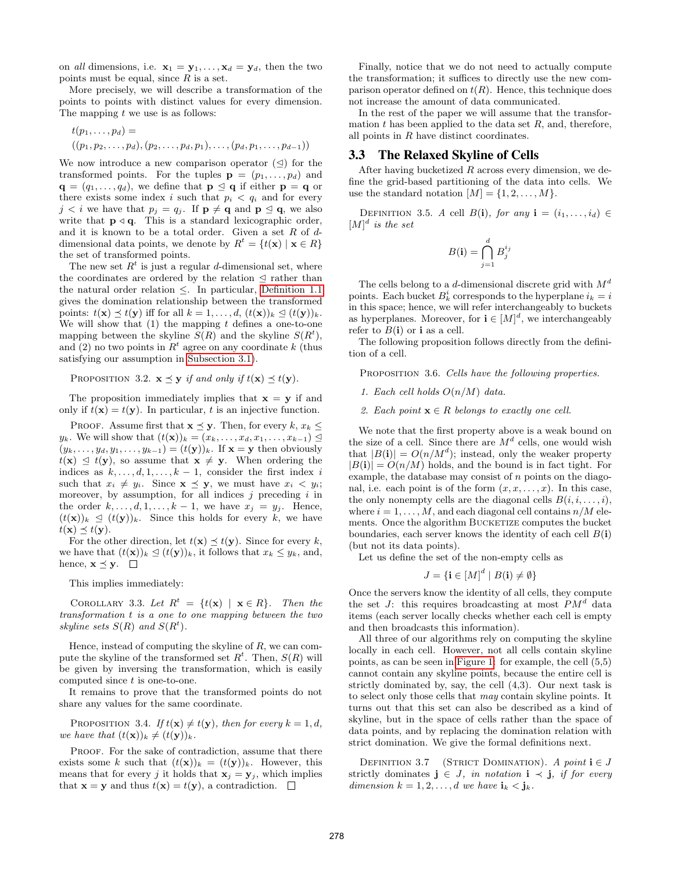on all dimensions, i.e.  $\mathbf{x}_1 = \mathbf{y}_1, \ldots, \mathbf{x}_d = \mathbf{y}_d$ , then the two points must be equal, since  $R$  is a set.

More precisely, we will describe a transformation of the points to points with distinct values for every dimension. The mapping  $t$  we use is as follows:

$$
t(p_1,...,p_d) =
$$
  

$$
((p_1, p_2,...,p_d), (p_2,...,p_d, p_1),..., (p_d, p_1,...,p_{d-1}))
$$

We now introduce a new comparison operator  $(\triangleleft)$  for the transformed points. For the tuples  $\mathbf{p} = (p_1, \ldots, p_d)$  and  $\mathbf{q} = (q_1, \ldots, q_d)$ , we define that  $\mathbf{p} \leq \mathbf{q}$  if either  $\mathbf{p} = \mathbf{q}$  or there exists some index i such that  $p_i < q_i$  and for every  $j < i$  we have that  $p_j = q_j$ . If  $\mathbf{p} \neq \mathbf{q}$  and  $\mathbf{p} \leq \mathbf{q}$ , we also write that  $p \triangleleft q$ . This is a standard lexicographic order, and it is known to be a total order. Given a set  $R$  of  $d$ dimensional data points, we denote by  $R^t = \{t(\mathbf{x}) \mid \mathbf{x} \in R\}$ the set of transformed points.

The new set  $R<sup>t</sup>$  is just a regular d-dimensional set, where the coordinates are ordered by the relation  $\leq$  rather than the natural order relation  $\leq$ . In particular, Definition 1.1 gives the domination relationship between the transformed points:  $t(\mathbf{x}) \preceq t(\mathbf{y})$  iff for all  $k = 1, \ldots, d$ ,  $(t(\mathbf{x}))_k \preceq (t(\mathbf{y}))_k$ . We will show that  $(1)$  the mapping t defines a one-to-one mapping between the skyline  $S(R)$  and the skyline  $S(R<sup>t</sup>)$ , and (2) no two points in  $R<sup>t</sup>$  agree on any coordinate k (thus satisfying our assumption in Subsection 3.1).

PROPOSITION 3.2.  $\mathbf{x} \preceq \mathbf{y}$  if and only if  $t(\mathbf{x}) \preceq t(\mathbf{y})$ .

The proposition immediately implies that  $x = y$  if and only if  $t(\mathbf{x}) = t(\mathbf{y})$ . In particular, t is an injective function.

PROOF. Assume first that  $\mathbf{x} \preceq \mathbf{y}$ . Then, for every  $k, x_k \preceq$  $y_k$ . We will show that  $(t(\mathbf{x}))_k = (x_k, \ldots, x_d, x_1, \ldots, x_{k-1}) \leq$  $(y_k, \ldots, y_d, y_1, \ldots, y_{k-1}) = (t(\mathbf{y}))_k$ . If  $\mathbf{x} = \mathbf{y}$  then obviously  $t(\mathbf{x}) \leq t(\mathbf{y})$ , so assume that  $\mathbf{x} \neq \mathbf{y}$ . When ordering the indices as  $k, \ldots, d, 1, \ldots, k - 1$ , consider the first index i such that  $x_i \neq y_i$ . Since  $\mathbf{x} \preceq \mathbf{y}$ , we must have  $x_i < y_i$ ; moreover, by assumption, for all indices  $j$  preceding  $i$  in the order  $k, \ldots, d, 1, \ldots, k-1$ , we have  $x_j = y_j$ . Hence,  $(t(\mathbf{x}))_k \trianglelefteq (t(\mathbf{y}))_k$ . Since this holds for every k, we have  $t(\mathbf{x}) \preceq t(\mathbf{y}).$ 

For the other direction, let  $t(\mathbf{x}) \preceq t(\mathbf{y})$ . Since for every k, we have that  $(t(\mathbf{x}))_k \trianglelefteq (t(\mathbf{y}))_k$ , it follows that  $x_k \leq y_k$ , and, hence,  $\mathbf{x} \preceq \mathbf{y}$ .  $\Box$ 

This implies immediately:

COROLLARY 3.3. Let  $R^t = \{t(\mathbf{x}) \mid \mathbf{x} \in R\}$ . Then the transformation t is a one to one mapping between the two skyline sets  $S(R)$  and  $S(R<sup>t</sup>)$ .

Hence, instead of computing the skyline of  $R$ , we can compute the skyline of the transformed set  $R^t$ . Then,  $S(R)$  will be given by inversing the transformation, which is easily computed since  $t$  is one-to-one.

It remains to prove that the transformed points do not share any values for the same coordinate.

PROPOSITION 3.4. If  $t(\mathbf{x}) \neq t(\mathbf{y})$ , then for every  $k = 1, d$ , we have that  $(t(\mathbf{x}))_k \neq (t(\mathbf{y}))_k$ .

PROOF. For the sake of contradiction, assume that there exists some k such that  $(t(\mathbf{x}))_k = (t(\mathbf{y}))_k$ . However, this means that for every j it holds that  $\mathbf{x}_j = \mathbf{y}_j$ , which implies that  $\mathbf{x} = \mathbf{y}$  and thus  $t(\mathbf{x}) = t(\mathbf{y})$ , a contradiction.  $\Box$ 

Finally, notice that we do not need to actually compute the transformation; it suffices to directly use the new comparison operator defined on  $t(R)$ . Hence, this technique does not increase the amount of data communicated.

In the rest of the paper we will assume that the transformation  $t$  has been applied to the data set  $R$ , and, therefore, all points in  $R$  have distinct coordinates.

## 3.3 The Relaxed Skyline of Cells

After having bucketized  $R$  across every dimension, we define the grid-based partitioning of the data into cells. We use the standard notation  $[M] = \{1, 2, \ldots, M\}.$ 

DEFINITION 3.5. A cell  $B(i)$ , for any  $i = (i_1, \ldots, i_d) \in$  $[M]$ <sup>d</sup> is the set

$$
B(\mathbf{i}) = \bigcap_{j=1}^{d} B_j^{i_j}
$$

The cells belong to a d-dimensional discrete grid with  $M<sup>d</sup>$ points. Each bucket  $B_k^i$  corresponds to the hyperplane  $i_k = i$ in this space; hence, we will refer interchangeably to buckets as hyperplanes. Moreover, for  $\mathbf{i} \in [M]^d$ , we interchangeably refer to  $B(i)$  or i as a cell.

The following proposition follows directly from the definition of a cell.

PROPOSITION 3.6. Cells have the following properties.

1. Each cell holds  $O(n/M)$  data.

2. Each point  $\mathbf{x} \in R$  belongs to exactly one cell.

We note that the first property above is a weak bound on the size of a cell. Since there are  $M^d$  cells, one would wish that  $|B(i)| = O(n/M^d)$ ; instead, only the weaker property  $|B(i)| = O(n/M)$  holds, and the bound is in fact tight. For example, the database may consist of  $n$  points on the diagonal, i.e. each point is of the form  $(x, x, \ldots, x)$ . In this case, the only nonempty cells are the diagonal cells  $B(i, i, \ldots, i)$ , where  $i = 1, \ldots, M$ , and each diagonal cell contains  $n/M$  elements. Once the algorithm BUCKETIZE computes the bucket boundaries, each server knows the identity of each cell  $B(i)$ (but not its data points).

Let us define the set of the non-empty cells as

$$
J = \{ \mathbf{i} \in [M]^d \mid B(\mathbf{i}) \neq \emptyset \}
$$

Once the servers know the identity of all cells, they compute the set J: this requires broadcasting at most  $PM<sup>d</sup>$  data items (each server locally checks whether each cell is empty and then broadcasts this information).

All three of our algorithms rely on computing the skyline locally in each cell. However, not all cells contain skyline points, as can be seen in Figure 1: for example, the cell (5,5) cannot contain any skyline points, because the entire cell is strictly dominated by, say, the cell (4,3). Our next task is to select only those cells that may contain skyline points. It turns out that this set can also be described as a kind of skyline, but in the space of cells rather than the space of data points, and by replacing the domination relation with strict domination. We give the formal definitions next.

DEFINITION 3.7 (STRICT DOMINATION). A point  $i \in J$ strictly dominates  $\mathbf{j} \in J$ , in notation  $\mathbf{i} \prec \mathbf{j}$ , if for every dimension  $k = 1, 2, \ldots, d$  we have  $\mathbf{i}_k < \mathbf{j}_k$ .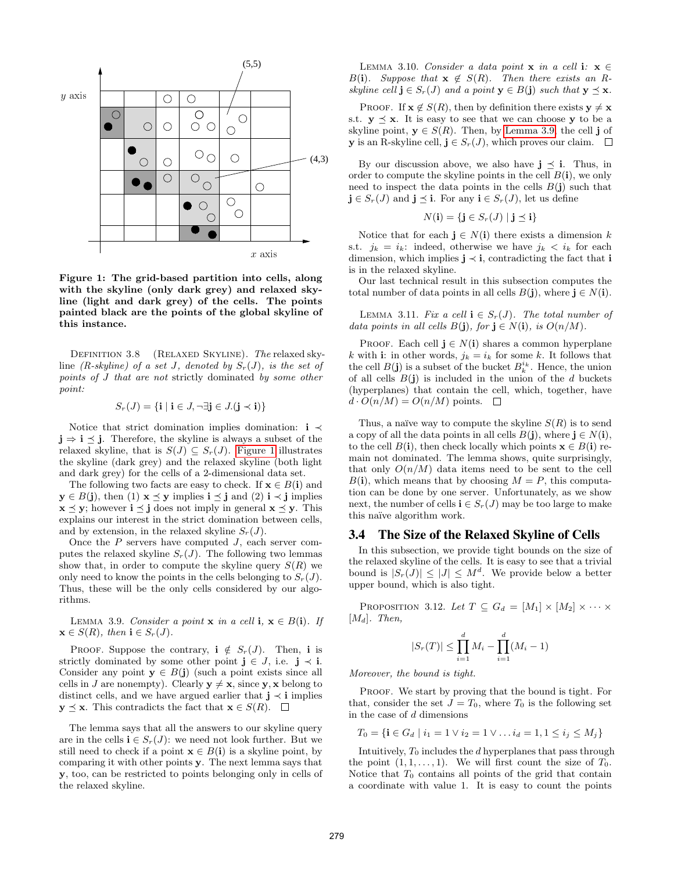

Figure 1: The grid-based partition into cells, along with the skyline (only dark grey) and relaxed skyline (light and dark grey) of the cells. The points painted black are the points of the global skyline of this instance.

DEFINITION 3.8 (RELAXED SKYLINE). The relaxed skyline (R-skyline) of a set J, denoted by  $S_r(J)$ , is the set of points of J that are not strictly dominated by some other point:

$$
S_r(J) = \{ \mathbf{i} \mid \mathbf{i} \in J, \neg \exists \mathbf{j} \in J.(\mathbf{j} \prec \mathbf{i}) \}
$$

Notice that strict domination implies domination: i ≺  $j \Rightarrow i \leq j$ . Therefore, the skyline is always a subset of the relaxed skyline, that is  $S(J) \subseteq S_r(J)$ . Figure 1 illustrates the skyline (dark grey) and the relaxed skyline (both light and dark grey) for the cells of a 2-dimensional data set.

The following two facts are easy to check. If  $\mathbf{x} \in B(\mathbf{i})$  and  $y \in B(j)$ , then (1)  $x \preceq y$  implies  $i \preceq j$  and (2)  $i \prec j$  implies  $x \preceq y$ ; however  $i \preceq j$  does not imply in general  $x \preceq y$ . This explains our interest in the strict domination between cells, and by extension, in the relaxed skyline  $S_r(J)$ .

Once the  $P$  servers have computed  $J$ , each server computes the relaxed skyline  $S_r(J)$ . The following two lemmas show that, in order to compute the skyline query  $S(R)$  we only need to know the points in the cells belonging to  $S_r(J)$ . Thus, these will be the only cells considered by our algorithms.

LEMMA 3.9. Consider a point  $x$  in a cell i,  $x \in B(i)$ . If  $\mathbf{x} \in S(R)$ , then  $\mathbf{i} \in S_r(J)$ .

PROOF. Suppose the contrary,  $\mathbf{i} \notin S_r(J)$ . Then, i is strictly dominated by some other point  $\mathbf{j} \in J$ , i.e.  $\mathbf{j} \prec \mathbf{i}$ . Consider any point  $y \in B(j)$  (such a point exists since all cells in J are nonempty). Clearly  $y \neq x$ , since y, x belong to distinct cells, and we have argued earlier that  $j \prec i$  implies  $y \preceq x$ . This contradicts the fact that  $x \in S(R)$ .  $\Box$ 

The lemma says that all the answers to our skyline query are in the cells  $\mathbf{i} \in S_r(J)$ : we need not look further. But we still need to check if a point  $\mathbf{x} \in B(i)$  is a skyline point, by comparing it with other points y. The next lemma says that y, too, can be restricted to points belonging only in cells of the relaxed skyline.

LEMMA 3.10. Consider a data point  $x$  in a cell i:  $x \in$ B(i). Suppose that  $\mathbf{x} \notin S(R)$ . Then there exists an R-

PROOF. If  $\mathbf{x} \notin S(R)$ , then by definition there exists  $\mathbf{y} \neq \mathbf{x}$ s.t.  $\mathbf{v} \preceq \mathbf{x}$ . It is easy to see that we can choose **y** to be a skyline point,  $\mathbf{v} \in S(R)$ . Then, by Lemma 3.9, the cell j of **v** is an R-skyline cell,  $\mathbf{i} \in S_r(J)$ , which proves our claim.  $\square$ 

By our discussion above, we also have  $j \preceq i$ . Thus, in order to compute the skyline points in the cell  $B(i)$ , we only need to inspect the data points in the cells  $B(j)$  such that  $\mathbf{j} \in S_r(J)$  and  $\mathbf{j} \preceq \mathbf{i}$ . For any  $\mathbf{i} \in S_r(J)$ , let us define

$$
N(\mathbf{i}) = \{ \mathbf{j} \in S_r(J) \mid \mathbf{j} \preceq \mathbf{i} \}
$$

x axis dimension, which implies  $\mathbf{j} \prec \mathbf{i}$ , contradicting the fact that  $\mathbf{i}$ Notice that for each  $j \in N(i)$  there exists a dimension k s.t.  $j_k = i_k$ : indeed, otherwise we have  $j_k < i_k$  for each is in the relaxed skyline.

> Our last technical result in this subsection computes the total number of data points in all cells  $B(j)$ , where  $j \in N(i)$ .

> LEMMA 3.11. Fix a cell  $\mathbf{i} \in S_r(J)$ . The total number of data points in all cells  $B(j)$ , for  $j \in N(i)$ , is  $O(n/M)$ .

> PROOF. Each cell  $\mathbf{j} \in N(\mathbf{i})$  shares a common hyperplane k with i: in other words,  $j_k = i_k$  for some k. It follows that the cell  $B(\mathbf{j})$  is a subset of the bucket  $B_k^{i_k}$ . Hence, the union of all cells  $B(j)$  is included in the union of the d buckets (hyperplanes) that contain the cell, which, together, have  $d \cdot O(n/M) = O(n/M)$  points.  $\Box$

> Thus, a naïve way to compute the skyline  $S(R)$  is to send a copy of all the data points in all cells  $B(j)$ , where  $j \in N(i)$ , to the cell  $B(i)$ , then check locally which points  $\mathbf{x} \in B(i)$  remain not dominated. The lemma shows, quite surprisingly, that only  $O(n/M)$  data items need to be sent to the cell  $B(i)$ , which means that by choosing  $M = P$ , this computation can be done by one server. Unfortunately, as we show next, the number of cells  $\mathbf{i} \in S_r(J)$  may be too large to make this naïve algorithm work.

## 3.4 The Size of the Relaxed Skyline of Cells

In this subsection, we provide tight bounds on the size of the relaxed skyline of the cells. It is easy to see that a trivial bound is  $|S_r(J)| \leq |J| \leq M^d$ . We provide below a better upper bound, which is also tight.

PROPOSITION 3.12. Let  $T \subseteq G_d = [M_1] \times [M_2] \times \cdots \times$  $[M_d]$ . Then,

$$
|S_r(T)| \le \prod_{i=1}^d M_i - \prod_{i=1}^d (M_i - 1)
$$

Moreover, the bound is tight.

PROOF. We start by proving that the bound is tight. For that, consider the set  $J = T_0$ , where  $T_0$  is the following set in the case of d dimensions

$$
T_0 = \{ \mathbf{i} \in G_d \mid i_1 = 1 \lor i_2 = 1 \lor \dots i_d = 1, 1 \le i_j \le M_j \}
$$

Intuitively,  $T_0$  includes the d hyperplanes that pass through the point  $(1, 1, \ldots, 1)$ . We will first count the size of  $T_0$ . Notice that  $T_0$  contains all points of the grid that contain a coordinate with value 1. It is easy to count the points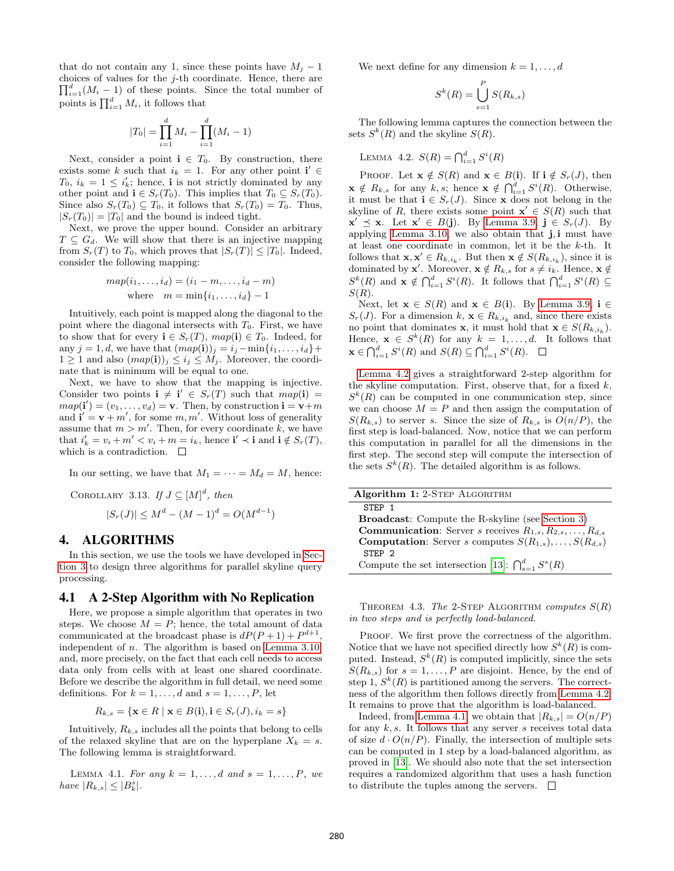that do not contain any 1, since these points have  $M_i - 1$ choices of values for the j-th coordinate. Hence, there are  $\prod_{i=1}^{d} (M_i - 1)$  of these points. Since the total number of points is  $\prod_{i=1}^d M_i$ , it follows that

$$
|T_0| = \prod_{i=1}^{d} M_i - \prod_{i=1}^{d} (M_i - 1)
$$

Next, consider a point  $i \in T_0$ . By construction, there exists some k such that  $i_k = 1$ . For any other point  $\mathbf{i}' \in$  $T_0$ ,  $i_k = 1 \leq i'_k$ ; hence, **i** is not strictly dominated by any other point and  $\mathbf{i} \in S_r(T_0)$ . This implies that  $T_0 \subseteq S_r(T_0)$ . Since also  $S_r(T_0) \subseteq T_0$ , it follows that  $S_r(T_0) = T_0$ . Thus,  $|S_r(T_0)| = |T_0|$  and the bound is indeed tight.

Next, we prove the upper bound. Consider an arbitrary  $T \subseteq G_d$ . We will show that there is an injective mapping from  $S_r(T)$  to  $T_0$ , which proves that  $|S_r(T)| \leq |T_0|$ . Indeed, consider the following mapping:

$$
map(i_1, \ldots, i_d) = (i_1 - m, \ldots, i_d - m)
$$
  
where  $m = \min\{i_1, \ldots, i_d\} - 1$ 

Intuitively, each point is mapped along the diagonal to the point where the diagonal intersects with  $T_0$ . First, we have to show that for every  $\mathbf{i} \in S_r(T)$ ,  $map(\mathbf{i}) \in T_0$ . Indeed, for any  $j = 1, d$ , we have that  $(map(i))_i = i_j - \min\{i_1, \ldots, i_d\} +$  $1 \geq 1$  and also  $(map(i))_i \leq i_j \leq M_i$ . Moreover, the coordinate that is minimum will be equal to one.

Next, we have to show that the mapping is injective. Consider two points  $\mathbf{i} \neq \mathbf{i}' \in S_r(T)$  such that  $map(\mathbf{i}) =$  $map(i') = (v_1, \ldots, v_d) = \mathbf{v}$ . Then, by construction  $\mathbf{i} = \mathbf{v} + m$ and  $\mathbf{i}' = \mathbf{v} + m'$ , for some  $m, m'$ . Without loss of generality assume that  $m > m'$ . Then, for every coordinate k, we have that  $i'_k = v_i + m' < v_i + m = i_k$ , hence  $\mathbf{i}' \prec \mathbf{i}$  and  $\mathbf{i} \notin S_r(T)$ , which is a contradiction.  $\quad \Box$ 

In our setting, we have that  $M_1 = \cdots = M_d = M$ , hence:

COROLLARY 3.13. If 
$$
J \subseteq [M]^d
$$
, then  
\n
$$
|S_r(J)| \leq M^d - (M-1)^d = O(M^{d-1})
$$

## 4. ALGORITHMS

In this section, we use the tools we have developed in Section 3 to design three algorithms for parallel skyline query processing.

# 4.1 A 2-Step Algorithm with No Replication

Here, we propose a simple algorithm that operates in two steps. We choose  $M = P$ ; hence, the total amount of data communicated at the broadcast phase is  $dP(P+1) + P^{d+1}$ , independent of *n*. The algorithm is based on Lemma 3.10, and, more precisely, on the fact that each cell needs to access data only from cells with at least one shared coordinate. Before we describe the algorithm in full detail, we need some definitions. For  $k = 1, \ldots, d$  and  $s = 1, \ldots, P$ , let

$$
R_{k,s} = \{ \mathbf{x} \in R \mid \mathbf{x} \in B(\mathbf{i}), \mathbf{i} \in S_r(J), i_k = s \}
$$

Intuitively,  $R_{k,s}$  includes all the points that belong to cells of the relaxed skyline that are on the hyperplane  $X_k = s$ . The following lemma is straightforward.

LEMMA 4.1. For any  $k = 1, \ldots, d$  and  $s = 1, \ldots, P$ , we have  $|R_{k,s}| \leq |B_k^s|$ .

We next define for any dimension  $k = 1, \ldots, d$ 

$$
S^k(R) = \bigcup_{s=1}^P S(R_{k,s})
$$

The following lemma captures the connection between the sets  $S^k(R)$  and the skyline  $S(R)$ .

LEMMA 4.2. 
$$
S(R) = \bigcap_{i=1}^{d} S^{i}(R)
$$

PROOF. Let  $\mathbf{x} \notin S(R)$  and  $\mathbf{x} \in B(i)$ . If  $i \notin S_r(J)$ , then  $\mathbf{x} \notin R_{k,s}$  for any  $k,s$ ; hence  $\mathbf{x} \notin \bigcap_{i=1}^d S^i(R)$ . Otherwise, it must be that  $\mathbf{i} \in S_r(J)$ . Since **x** does not belong in the skyline of R, there exists some point  $x' \in S(R)$  such that  $\mathbf{x}' \preceq \mathbf{x}$ . Let  $\mathbf{x}' \in B(\mathbf{j})$ . By Lemma 3.9,  $\mathbf{j} \in S_r(J)$ . By applying Lemma 3.10, we also obtain that j, i must have at least one coordinate in common, let it be the k-th. It follows that  $\mathbf{x}, \mathbf{x}' \in R_{k,i_k}$ . But then  $\mathbf{x} \notin S(R_{k,i_k})$ , since it is dominated by **x'**. Moreover,  $\mathbf{x} \notin R_{k,s}$  for  $s \neq i_k$ . Hence,  $\mathbf{x} \notin R_{k,s}$  $S^{k}(R)$  and  $\mathbf{x} \notin \bigcap_{i=1}^{d} S^{i}(R)$ . It follows that  $\bigcap_{i=1}^{d} S^{i}(R) \subseteq$  $S(R)$ .

Next, let  $\mathbf{x} \in S(R)$  and  $\mathbf{x} \in B(i)$ . By Lemma 3.9,  $i \in$  $S_r(J)$ . For a dimension  $k, \mathbf{x} \in R_{k,i_k}$  and, since there exists no point that dominates **x**, it must hold that  $\mathbf{x} \in S(R_{k,i_k})$ . Hence,  $\mathbf{x} \in S^k(R)$  for any  $k = 1, \ldots, d$ . It follows that  $\mathbf{x} \in \bigcap_{i=1}^d S^i(R)$  and  $S(R) \subseteq \bigcap_{i=1}^d S^i(R)$ .

Lemma 4.2 gives a straightforward 2-step algorithm for the skyline computation. First, observe that, for a fixed  $k$ ,  $S^k(R)$  can be computed in one communication step, since we can choose  $M = P$  and then assign the computation of  $S(R_{k,s})$  to server s. Since the size of  $R_{k,s}$  is  $O(n/P)$ , the first step is load-balanced. Now, notice that we can perform this computation in parallel for all the dimensions in the first step. The second step will compute the intersection of the sets  $S^k(R)$ . The detailed algorithm is as follows.

| Algorithm 1: 2-STEP ALGORITHM                                                      |
|------------------------------------------------------------------------------------|
| STEP 1                                                                             |
| <b>Broadcast:</b> Compute the R-skyline (see Section 3)                            |
| <b>Communication:</b> Server <i>s</i> receives $R_{1,s}, R_{2,s}, \ldots, R_{d,s}$ |
| <b>Computation:</b> Server s computes $S(R_{1,s}), \ldots, S(R_{d,s})$             |
| STEP 2                                                                             |
| Compute the set intersection [13]: $\bigcap_{s=1}^d S^s(R)$                        |

THEOREM 4.3. The 2-STEP ALGORITHM computes  $S(R)$ in two steps and is perfectly load-balanced.

PROOF. We first prove the correctness of the algorithm. Notice that we have not specified directly how  $S^k(R)$  is computed. Instead,  $S^k(R)$  is computed implicitly, since the sets  $S(R_{k,s})$  for  $s = 1, \ldots, P$  are disjoint. Hence, by the end of step 1,  $S^k(R)$  is partitioned among the servers. The correctness of the algorithm then follows directly from Lemma 4.2. It remains to prove that the algorithm is load-balanced.

Indeed, from Lemma 4.1, we obtain that  $|R_{k,s}| = O(n/P)$ for any  $k, s$ . It follows that any server s receives total data of size  $d \cdot O(n/P)$ . Finally, the intersection of multiple sets can be computed in 1 step by a load-balanced algorithm, as proved in [13]. We should also note that the set intersection requires a randomized algorithm that uses a hash function to distribute the tuples among the servers.  $\Box$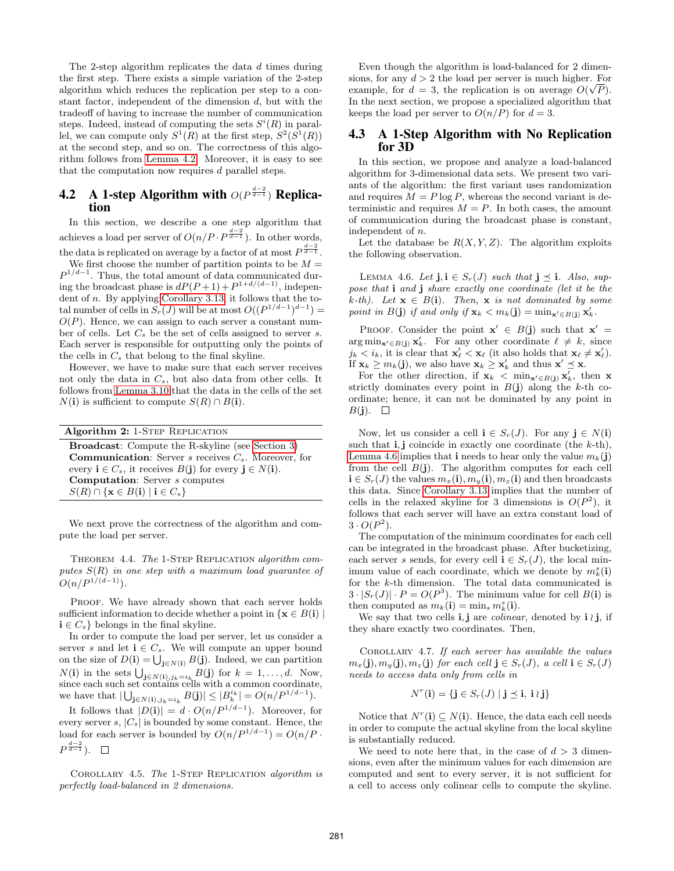The 2-step algorithm replicates the data d times during the first step. There exists a simple variation of the 2-step algorithm which reduces the replication per step to a constant factor, independent of the dimension  $d$ , but with the tradeoff of having to increase the number of communication steps. Indeed, instead of computing the sets  $S^{i}(R)$  in parallel, we can compute only  $S^1(R)$  at the first step,  $S^2(S^1(R))$ at the second step, and so on. The correctness of this algorithm follows from Lemma 4.2. Moreover, it is easy to see that the computation now requires d parallel steps.

# **4.2** A 1-step Algorithm with  $O(P^{\frac{d-2}{d-1}})$  Replication

In this section, we describe a one step algorithm that achieves a load per server of  $O(n/P \cdot P^{\frac{d-2}{d-1}})$ . In other words, the data is replicated on average by a factor of at most  $P^{\frac{d-2}{d-1}}$ .

We first choose the number of partition points to be  $M =$  $P^{1/d-1}$ . Thus, the total amount of data communicated during the broadcast phase is  $dP(P+1) + P^{1+d/(d-1)}$ , independent of n. By applying Corollary 3.13, it follows that the total number of cells in  $S_r(J)$  will be at most  $O((P^{1/d-1})^{d-1}) =$  $O(P)$ . Hence, we can assign to each server a constant number of cells. Let  $C_s$  be the set of cells assigned to server s. Each server is responsible for outputting only the points of the cells in  $C_s$  that belong to the final skyline.

However, we have to make sure that each server receives not only the data in  $C_s$ , but also data from other cells. It follows from Lemma 3.10 that the data in the cells of the set  $N(i)$  is sufficient to compute  $S(R) \cap B(i)$ .

| Algorithm 2: 1-STEP REPLICATION                                                                     |
|-----------------------------------------------------------------------------------------------------|
| <b>Broadcast:</b> Compute the R-skyline (see Section 3)                                             |
| <b>Communication:</b> Server s receives $C_s$ . Moreover, for                                       |
| every $\mathbf{i} \in C_s$ , it receives $B(\mathbf{j})$ for every $\mathbf{j} \in N(\mathbf{i})$ . |
| <b>Computation:</b> Server <i>s</i> computes                                                        |
| $S(R) \cap \{x \in B(i) \mid i \in C_s\}$                                                           |

We next prove the correctness of the algorithm and compute the load per server.

THEOREM 4.4. The 1-STEP REPLICATION algorithm computes  $S(R)$  in one step with a maximum load quarantee of  $O(n/P^{1/(d-1)})$ .

PROOF. We have already shown that each server holds sufficient information to decide whether a point in  $\{x \in B(i) \mid$  $\mathbf{i} \in C_s$  belongs in the final skyline.

In order to compute the load per server, let us consider a server s and let  $\mathbf{i} \in C_s$ . We will compute an upper bound on the size of  $D(i) = \bigcup_{\mathbf{j} \in N(i)} B(\mathbf{j})$ . Indeed, we can partition  $N(\mathbf{i})$  in the sets  $\bigcup_{\mathbf{j}\in N(\mathbf{i}),j_k=i_k} B(\mathbf{j})$  for  $k=1,\ldots,d$ . Now, since each such set contains cells with a common coordinate, we have that  $|\bigcup_{\mathbf{j}\in N(\mathbf{i}),j_k=i_k} B(\mathbf{j})| \leq |B_k^{i_k}| = O(n/P^{1/d-1}).$ 

It follows that  $|D(i)| = d \cdot O(n/P^{1/d-1})$ . Moreover, for every server s,  $|C_s|$  is bounded by some constant. Hence, the load for each server is bounded by  $O(n/P^{1/d-1}) = O(n/P \cdot$  $P^{\frac{d-2}{d-1}}$ ).

Corollary 4.5. The 1-Step Replication algorithm is perfectly load-balanced in 2 dimensions.

Even though the algorithm is load-balanced for 2 dimensions, for any  $d > 2$  the load per server is much higher. For example, for  $d = 3$ , the replication is on average  $O(\sqrt{P})$ . In the next section, we propose a specialized algorithm that keeps the load per server to  $O(n/P)$  for  $d = 3$ .

# 4.3 A 1-Step Algorithm with No Replication for 3D

In this section, we propose and analyze a load-balanced algorithm for 3-dimensional data sets. We present two variants of the algorithm: the first variant uses randomization and requires  $M = P \log P$ , whereas the second variant is deterministic and requires  $M = P$ . In both cases, the amount of communication during the broadcast phase is constant, independent of n.

Let the database be  $R(X, Y, Z)$ . The algorithm exploits the following observation.

LEMMA 4.6. Let  $\mathbf{j}, \mathbf{i} \in S_r(J)$  such that  $\mathbf{j} \preceq \mathbf{i}$ . Also, suppose that i and j share exactly one coordinate (let it be the k-th). Let  $\mathbf{x} \in B(i)$ . Then,  $\mathbf{x}$  is not dominated by some point in  $B(\mathbf{j})$  if and only if  $\mathbf{x}_k < m_k(\mathbf{j}) = \min_{\mathbf{x}' \in B(\mathbf{j})} \mathbf{x}'_k$ .

PROOF. Consider the point  $\mathbf{x}' \in B(\mathbf{j})$  such that  $\mathbf{x}' =$  $\arg \min_{\mathbf{x}' \in B(\mathbf{j})} \mathbf{x}'_k$ . For any other coordinate  $\ell \neq k$ , since  $j_k < i_k$ , it is clear that  $\mathbf{x}'_\ell < \mathbf{x}_\ell$  (it also holds that  $\mathbf{x}_\ell \neq \mathbf{x}'_\ell$ ). If  $\mathbf{x}_k \geq m_k(\mathbf{j})$ , we also have  $\mathbf{x}_k \geq \mathbf{x}'_k$  and thus  $\mathbf{x}' \preceq \mathbf{x}$ .

For the other direction, if  $\mathbf{x}_k < \min_{\mathbf{x}' \in B(j)} \mathbf{x}'_k$ , then x strictly dominates every point in  $B(j)$  along the k-th coordinate; hence, it can not be dominated by any point in  $B(j). \square$ 

Now, let us consider a cell  $\mathbf{i} \in S_r(J)$ . For any  $\mathbf{j} \in N(\mathbf{i})$ such that  $\mathbf{i}, \mathbf{j}$  coincide in exactly one coordinate (the k-th), Lemma 4.6 implies that **i** needs to hear only the value  $m_k(i)$ from the cell  $B(j)$ . The algorithm computes for each cell  $i \in S_r(J)$  the values  $m_x(i), m_y(i), m_z(i)$  and then broadcasts this data. Since Corollary 3.13 implies that the number of cells in the relaxed skyline for 3 dimensions is  $O(P^2)$ , it follows that each server will have an extra constant load of  $3 \cdot O(P^2)$ .

The computation of the minimum coordinates for each cell can be integrated in the broadcast phase. After bucketizing, each server s sends, for every cell  $\mathbf{i} \in S_r(J)$ , the local minimum value of each coordinate, which we denote by  $m_k^s(i)$ for the k-th dimension. The total data communicated is  $3 \cdot |S_r(J)| \cdot P = O(P^3)$ . The minimum value for cell  $B(i)$  is then computed as  $m_k(i) = \min_s m_k^s(i)$ .

We say that two cells **i**, **j** are *colinear*, denoted by **i**  $\ell$  **j**, if they share exactly two coordinates. Then,

Corollary 4.7. If each server has available the values  $m_x(\mathbf{j}), m_y(\mathbf{j}), m_z(\mathbf{j})$  for each cell  $\mathbf{j} \in S_r(J)$ , a cell  $\mathbf{i} \in S_r(J)$ needs to access data only from cells in

$$
N^r(\mathbf{i}) = \{ \mathbf{j} \in S_r(J) \mid \mathbf{j} \preceq \mathbf{i}, \ \mathbf{i} \wr \mathbf{j} \}
$$

Notice that  $N^r(i) \subseteq N(i)$ . Hence, the data each cell needs in order to compute the actual skyline from the local skyline is substantially reduced.

We need to note here that, in the case of  $d > 3$  dimensions, even after the minimum values for each dimension are computed and sent to every server, it is not sufficient for a cell to access only colinear cells to compute the skyline.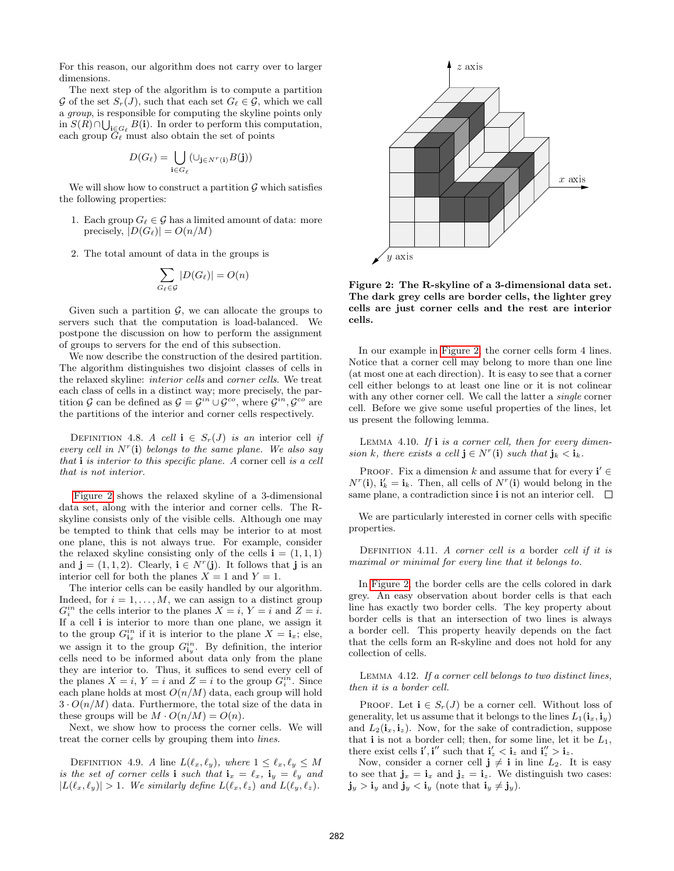For this reason, our algorithm does not carry over to larger dimensions.

The next step of the algorithm is to compute a partition  $\mathcal G$  of the set  $S_r(J)$ , such that each set  $G_\ell \in \mathcal G$ , which we call a group, is responsible for computing the skyline points only in  $S(R) \cap \bigcup_{\mathbf{i} \in G_{\ell}} B(\mathbf{i})$ . In order to perform this computation, each group  $\tilde{G}_{\ell}$  must also obtain the set of points

$$
D(G_{\ell}) = \bigcup_{\mathbf{i} \in G_{\ell}} (\cup_{\mathbf{j} \in N^{r}(\mathbf{i})} B(\mathbf{j}))
$$

We will show how to construct a partition  $\mathcal G$  which satisfies the following properties:

- 1. Each group  $G_\ell \in \mathcal{G}$  has a limited amount of data: more precisely,  $|D(G_\ell)| = O(n/M)$
- 2. The total amount of data in the groups is

$$
\sum_{G_{\ell} \in \mathcal{G}} |D(G_{\ell})| = O(n)
$$

Given such a partition  $\mathcal{G}$ , we can allocate the groups to servers such that the computation is load-balanced. We postpone the discussion on how to perform the assignment of groups to servers for the end of this subsection.

We now describe the construction of the desired partition. The algorithm distinguishes two disjoint classes of cells in the relaxed skyline: interior cells and corner cells. We treat each class of cells in a distinct way; more precisely, the partition G can be defined as  $\mathcal{G} = \mathcal{G}^{in} \cup \mathcal{G}^{co}$ , where  $\mathcal{G}^{in}, \mathcal{G}^{co}$  are the partitions of the interior and corner cells respectively.

DEFINITION 4.8. A cell  $\mathbf{i} \in S_r(J)$  is an interior cell if every cell in  $N<sup>r</sup>(i)$  belongs to the same plane. We also say that  $\mathbf i$  is interior to this specific plane. A corner cell is a cell that is not interior.

Figure 2 shows the relaxed skyline of a 3-dimensional data set, along with the interior and corner cells. The Rskyline consists only of the visible cells. Although one may be tempted to think that cells may be interior to at most one plane, this is not always true. For example, consider the relaxed skyline consisting only of the cells  $\mathbf{i} = (1, 1, 1)$ and  $\mathbf{j} = (1, 1, 2)$ . Clearly,  $\mathbf{i} \in N^r(\mathbf{j})$ . It follows that  $\mathbf{j}$  is an interior cell for both the planes  $X = 1$  and  $Y = 1$ .

The interior cells can be easily handled by our algorithm. Indeed, for  $i = 1, \ldots, M$ , we can assign to a distinct group  $G_i^{in}$  the cells interior to the planes  $X = i$ ,  $Y = i$  and  $Z = i$ . If a cell i is interior to more than one plane, we assign it to the group  $G_{i_x}^{in}$  if it is interior to the plane  $X = i_x$ ; else, we assign it to the group  $G_{i_y}^{in}$ . By definition, the interior cells need to be informed about data only from the plane they are interior to. Thus, it suffices to send every cell of the planes  $X = i$ ,  $Y = i$  and  $Z = i$  to the group  $G_i^{in}$ . Since each plane holds at most  $O(n/M)$  data, each group will hold  $3 \cdot O(n/M)$  data. Furthermore, the total size of the data in these groups will be  $M \cdot O(n/M) = O(n)$ .

Next, we show how to process the corner cells. We will treat the corner cells by grouping them into lines.

DEFINITION 4.9. A line  $L(\ell_x, \ell_y)$ , where  $1 \leq \ell_x, \ell_y \leq M$ is the set of corner cells i such that  $\mathbf{i}_x = \ell_x$ ,  $\mathbf{i}_y = \ell_y$  and  $|L(\ell_x, \ell_y)| > 1$ . We similarly define  $L(\ell_x, \ell_z)$  and  $L(\ell_y, \ell_z)$ .



Figure 2: The R-skyline of a 3-dimensional data set. The dark grey cells are border cells, the lighter grey cells are just corner cells and the rest are interior cells.

In our example in Figure 2, the corner cells form 4 lines. Notice that a corner cell may belong to more than one line (at most one at each direction). It is easy to see that a corner cell either belongs to at least one line or it is not colinear with any other corner cell. We call the latter a *single* corner cell. Before we give some useful properties of the lines, let us present the following lemma.

LEMMA 4.10. If  $i$  is a corner cell, then for every dimension k, there exists a cell  $\mathbf{j} \in N^r(\mathbf{i})$  such that  $\mathbf{j}_k < \mathbf{i}_k$ .

PROOF. Fix a dimension k and assume that for every  $\mathbf{i}' \in$  $N^{r}(\mathbf{i}), \mathbf{i}'_k = \mathbf{i}_k$ . Then, all cells of  $N^{r}(\mathbf{i})$  would belong in the same plane, a contradiction since i is not an interior cell.  $\Box$ 

We are particularly interested in corner cells with specific properties.

DEFINITION 4.11. A corner cell is a border cell if it is maximal or minimal for every line that it belongs to.

In Figure 2, the border cells are the cells colored in dark grey. An easy observation about border cells is that each line has exactly two border cells. The key property about border cells is that an intersection of two lines is always a border cell. This property heavily depends on the fact that the cells form an R-skyline and does not hold for any collection of cells.

Lemma 4.12. If a corner cell belongs to two distinct lines, then it is a border cell.

PROOF. Let  $\mathbf{i} \in S_r(J)$  be a corner cell. Without loss of generality, let us assume that it belongs to the lines  $L_1(i_x, i_y)$ and  $L_2(i_x, i_z)$ . Now, for the sake of contradiction, suppose that i is not a border cell; then, for some line, let it be  $L_1$ , there exist cells **i'**, **i''** such that  $\mathbf{i}'_z < \mathbf{i}_z$  and  $\mathbf{i}''_z > \mathbf{i}_z$ .

Now, consider a corner cell  $j \neq i$  in line  $L_2$ . It is easy to see that  $\mathbf{j}_x = \mathbf{i}_x$  and  $\mathbf{j}_z = \mathbf{i}_z$ . We distinguish two cases:  $\mathbf{j}_y > \mathbf{i}_y$  and  $\mathbf{j}_y < \mathbf{i}_y$  (note that  $\mathbf{i}_y \neq \mathbf{j}_y$ ).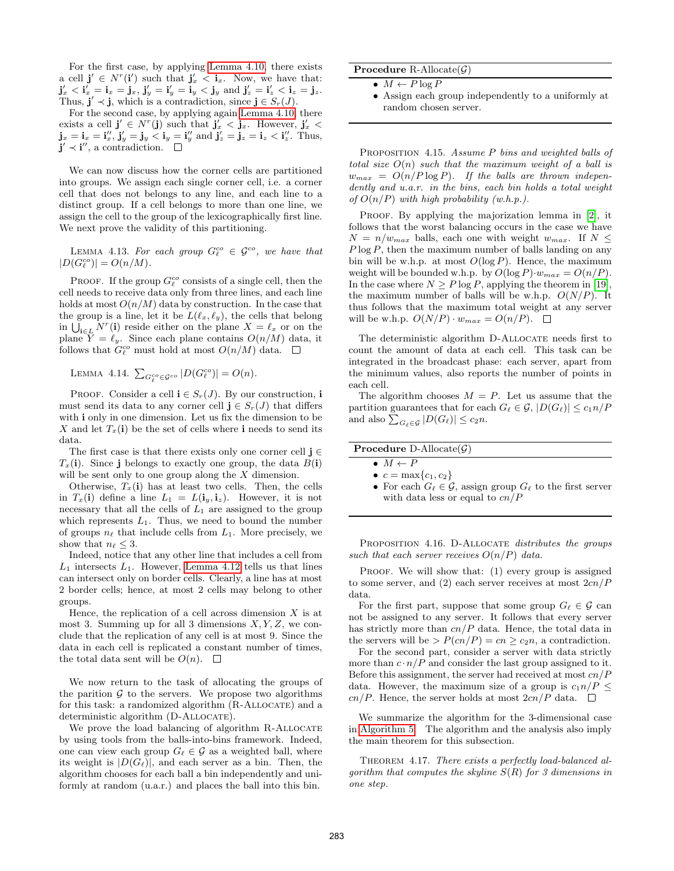For the first case, by applying Lemma 4.10, there exists a cell  $\mathbf{j}' \in N^r(\mathbf{i}')$  such that  $\mathbf{j}'_x < \mathbf{i}_x$ . Now, we have that:  ${\bf j}'_x<{\bf i}'_x={\bf i}_x={\bf j}_x,$   ${\bf j}'_y={\bf i}'_y={\bf i}_y<{\bf j}_y\,$  and  ${\bf j}'_z={\bf i}'_z<{\bf i}_z={\bf j}_z.$ Thus,  $\mathbf{j}' \prec \mathbf{j}$ , which is a contradiction, since  $\mathbf{j} \in S_r(J)$ .

For the second case, by applying again Lemma 4.10, there exists a cell  $\mathbf{j}' \in N^{r}(\mathbf{j})$  such that  $\mathbf{j}'_{x} < \mathbf{j}_{x}$ . However,  $\mathbf{j}'_{x} <$  $\mathbf{j}_x = \mathbf{i}_x = \mathbf{i}''_x, \ \mathbf{j}'_y = \mathbf{j}_y \leq \mathbf{i}_y = \mathbf{i}''_y \text{ and } \mathbf{j}'_z = \mathbf{j}_z = \mathbf{i}_z \leq \mathbf{i}''_z.$  Thus,  $j' \prec i''$ , a contradiction.

We can now discuss how the corner cells are partitioned into groups. We assign each single corner cell, i.e. a corner cell that does not belongs to any line, and each line to a distinct group. If a cell belongs to more than one line, we assign the cell to the group of the lexicographically first line. We next prove the validity of this partitioning.

LEMMA 4.13. For each group  $G_{\ell}^{co} \in \mathcal{G}^{co}$ , we have that  $|D(G_{\ell}^{co})| = O(n/M).$ 

PROOF. If the group  $G_{\ell}^{co}$  consists of a single cell, then the cell needs to receive data only from three lines, and each line holds at most  $O(n/M)$  data by construction. In the case that the group is a line, let it be  $L(\ell_x, \ell_y)$ , the cells that belong in  $\bigcup_{\mathbf{i}\in L} N^r(\mathbf{i})$  reside either on the plane  $X = \ell_x$  or on the plane  $Y = \ell_y$ . Since each plane contains  $O(n/M)$  data, it follows that  $G_{\ell}^{co}$  must hold at most  $O(n/M)$  data.

LEMMA 4.14.  $\sum_{G_{\ell}^{co} \in \mathcal{G}^{co}} |D(G_{\ell}^{co})| = O(n)$ .

PROOF. Consider a cell  $\mathbf{i} \in S_r(J)$ . By our construction,  $\mathbf{i}$ must send its data to any corner cell  $\mathbf{j} \in S_r(J)$  that differs with i only in one dimension. Let us fix the dimension to be X and let  $T_x(i)$  be the set of cells where i needs to send its data.

The first case is that there exists only one corner cell  $\mathbf{j} \in \mathbb{R}$  $T_x(i)$ . Since j belongs to exactly one group, the data  $B(i)$ will be sent only to one group along the  $X$  dimension.

Otherwise,  $T_x(i)$  has at least two cells. Then, the cells in  $T_x(i)$  define a line  $L_1 = L(i_y, i_z)$ . However, it is not necessary that all the cells of  $L_1$  are assigned to the group which represents  $L_1$ . Thus, we need to bound the number of groups  $n_\ell$  that include cells from  $L_1$ . More precisely, we show that  $n_\ell \leq 3$ .

Indeed, notice that any other line that includes a cell from  $L_1$  intersects  $L_1$ . However, Lemma 4.12 tells us that lines can intersect only on border cells. Clearly, a line has at most 2 border cells; hence, at most 2 cells may belong to other groups.

Hence, the replication of a cell across dimension  $X$  is at most 3. Summing up for all 3 dimensions  $X, Y, Z$ , we conclude that the replication of any cell is at most 9. Since the data in each cell is replicated a constant number of times, the total data sent will be  $O(n)$ .  $\square$ 

We now return to the task of allocating the groups of the parition  $\mathcal G$  to the servers. We propose two algorithms for this task: a randomized algorithm (R-Allocate) and a deterministic algorithm (D-ALLOCATE).

We prove the load balancing of algorithm R-ALLOCATE by using tools from the balls-into-bins framework. Indeed, one can view each group  $G_\ell \in \mathcal{G}$  as a weighted ball, where its weight is  $|D(G_\ell)|$ , and each server as a bin. Then, the algorithm chooses for each ball a bin independently and uniformly at random (u.a.r.) and places the ball into this bin.

**Procedure R-Allocate** $(G)$ 

- $M \leftarrow P \log P$
- Assign each group independently to a uniformly at random chosen server.

PROPOSITION 4.15. Assume P bins and weighted balls of total size  $O(n)$  such that the maximum weight of a ball is  $w_{max} = O(n/P \log P)$ . If the balls are thrown independently and u.a.r. in the bins, each bin holds a total weight of  $O(n/P)$  with high probability (w.h.p.).

PROOF. By applying the majorization lemma in [2], it follows that the worst balancing occurs in the case we have  $N = n/w_{max}$  balls, each one with weight  $w_{max}$ . If  $N \leq$  $P \log P$ , then the maximum number of balls landing on any bin will be w.h.p. at most  $O(\log P)$ . Hence, the maximum weight will be bounded w.h.p. by  $O(\log P) \cdot w_{max} = O(n/P)$ . In the case where  $N \ge P \log P$ , applying the theorem in [19], the maximum number of balls will be w.h.p.  $O(N/P)$ . It thus follows that the maximum total weight at any server will be w.h.p.  $O(N/P) \cdot w_{max} = O(n/P)$ .  $\Box$ 

The deterministic algorithm D-ALLOCATE needs first to count the amount of data at each cell. This task can be integrated in the broadcast phase: each server, apart from the minimum values, also reports the number of points in each cell.

The algorithm chooses  $M = P$ . Let us assume that the partition guarantees that for each  $G_\ell \in \mathcal{G}, |D(G_\ell)| \leq c_1n/P$ and also  $\sum_{G_\ell \in \mathcal{G}} |D(G_\ell)| \leq c_2 n$ .

| <b>Procedure</b> D-Allocate( $\mathcal{G}$ ) |  |
|----------------------------------------------|--|

- $c = \max\{c_1, c_2\}$
- For each  $G_\ell \in \mathcal{G}$ , assign group  $G_\ell$  to the first server with data less or equal to  $cn/P$

PROPOSITION 4.16. D-ALLOCATE distributes the groups such that each server receives  $O(n/P)$  data.

PROOF. We will show that: (1) every group is assigned to some server, and (2) each server receives at most  $2cn/P$ data.

For the first part, suppose that some group  $G_\ell \in \mathcal{G}$  can not be assigned to any server. It follows that every server has strictly more than  $cn/P$  data. Hence, the total data in the servers will be  $> P(cn/P) = cn \geq c_2n$ , a contradiction.

For the second part, consider a server with data strictly more than  $c \cdot n/P$  and consider the last group assigned to it. Before this assignment, the server had received at most  $cn/P$ data. However, the maximum size of a group is  $c_1n/P \leq$  $cn/P$ . Hence, the server holds at most  $2cn/P$  data.  $\square$ 

We summarize the algorithm for the 3-dimensional case in Algorithm 5. The algorithm and the analysis also imply the main theorem for this subsection.

THEOREM 4.17. There exists a perfectly load-balanced algorithm that computes the skyline  $S(R)$  for 3 dimensions in one step.